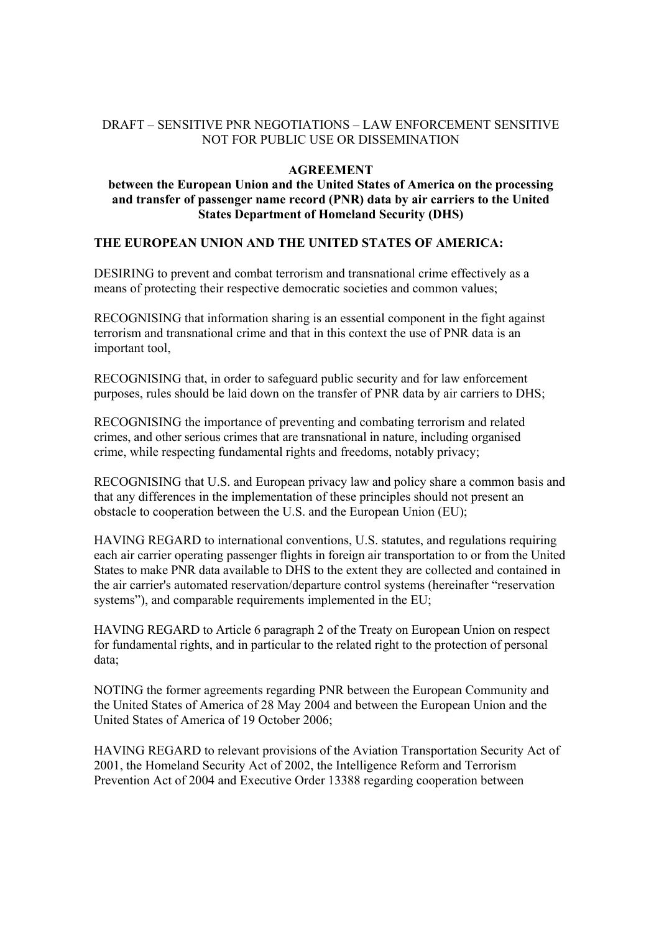# DRAFT – SENSITIVE PNR NEGOTIATIONS – LAW ENFORCEMENT SENSITIVE NOT FOR PUBLIC USE OR DISSEMINATION

# **AGREEMENT**

### **between the European Union and the United States of America on the processing and transfer of passenger name record (PNR) data by air carriers to the United States Department of Homeland Security (DHS)**

# **THE EUROPEAN UNION AND THE UNITED STATES OF AMERICA:**

DESIRING to prevent and combat terrorism and transnational crime effectively as a means of protecting their respective democratic societies and common values;

RECOGNISING that information sharing is an essential component in the fight against terrorism and transnational crime and that in this context the use of PNR data is an important tool,

RECOGNISING that, in order to safeguard public security and for law enforcement purposes, rules should be laid down on the transfer of PNR data by air carriers to DHS;

RECOGNISING the importance of preventing and combating terrorism and related crimes, and other serious crimes that are transnational in nature, including organised crime, while respecting fundamental rights and freedoms, notably privacy;

RECOGNISING that U.S. and European privacy law and policy share a common basis and that any differences in the implementation of these principles should not present an obstacle to cooperation between the U.S. and the European Union (EU);

HAVING REGARD to international conventions, U.S. statutes, and regulations requiring each air carrier operating passenger flights in foreign air transportation to or from the United States to make PNR data available to DHS to the extent they are collected and contained in the air carrier's automated reservation/departure control systems (hereinafter "reservation systems"), and comparable requirements implemented in the EU;

HAVING REGARD to Article 6 paragraph 2 of the Treaty on European Union on respect for fundamental rights, and in particular to the related right to the protection of personal data;

NOTING the former agreements regarding PNR between the European Community and the United States of America of 28 May 2004 and between the European Union and the United States of America of 19 October 2006;

HAVING REGARD to relevant provisions of the Aviation Transportation Security Act of 2001, the Homeland Security Act of 2002, the Intelligence Reform and Terrorism Prevention Act of 2004 and Executive Order 13388 regarding cooperation between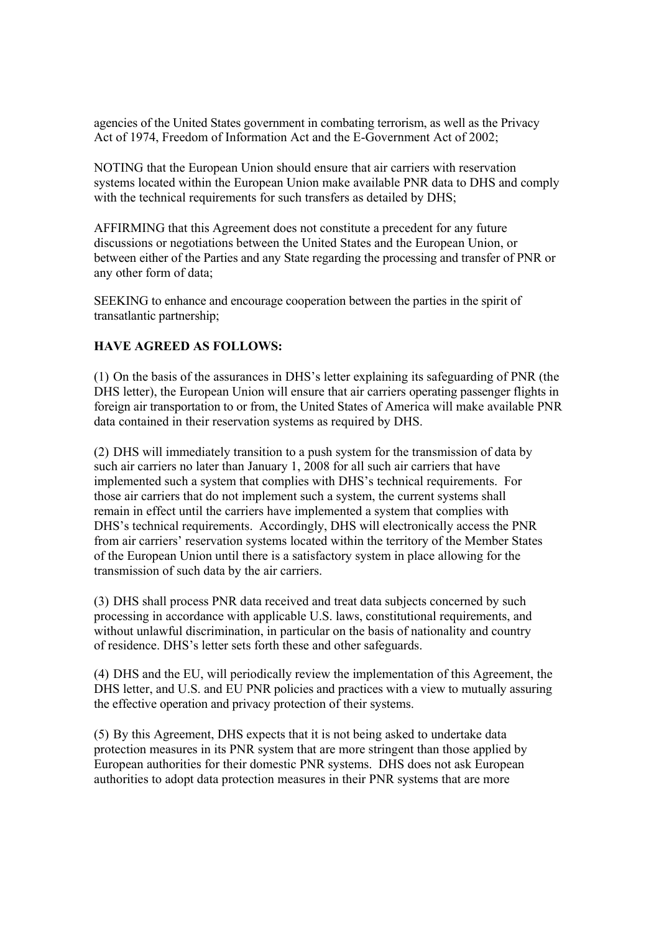agencies of the United States government in combating terrorism, as well as the Privacy Act of 1974, Freedom of Information Act and the E-Government Act of 2002;

NOTING that the European Union should ensure that air carriers with reservation systems located within the European Union make available PNR data to DHS and comply with the technical requirements for such transfers as detailed by DHS;

AFFIRMING that this Agreement does not constitute a precedent for any future discussions or negotiations between the United States and the European Union, or between either of the Parties and any State regarding the processing and transfer of PNR or any other form of data;

SEEKING to enhance and encourage cooperation between the parties in the spirit of transatlantic partnership;

# **HAVE AGREED AS FOLLOWS:**

(1) On the basis of the assurances in DHS's letter explaining its safeguarding of PNR (the DHS letter), the European Union will ensure that air carriers operating passenger flights in foreign air transportation to or from, the United States of America will make available PNR data contained in their reservation systems as required by DHS.

(2) DHS will immediately transition to a push system for the transmission of data by such air carriers no later than January 1, 2008 for all such air carriers that have implemented such a system that complies with DHS's technical requirements. For those air carriers that do not implement such a system, the current systems shall remain in effect until the carriers have implemented a system that complies with DHS's technical requirements. Accordingly, DHS will electronically access the PNR from air carriers' reservation systems located within the territory of the Member States of the European Union until there is a satisfactory system in place allowing for the transmission of such data by the air carriers.

(3) DHS shall process PNR data received and treat data subjects concerned by such processing in accordance with applicable U.S. laws, constitutional requirements, and without unlawful discrimination, in particular on the basis of nationality and country of residence. DHS's letter sets forth these and other safeguards.

(4) DHS and the EU, will periodically review the implementation of this Agreement, the DHS letter, and U.S. and EU PNR policies and practices with a view to mutually assuring the effective operation and privacy protection of their systems.

(5) By this Agreement, DHS expects that it is not being asked to undertake data protection measures in its PNR system that are more stringent than those applied by European authorities for their domestic PNR systems. DHS does not ask European authorities to adopt data protection measures in their PNR systems that are more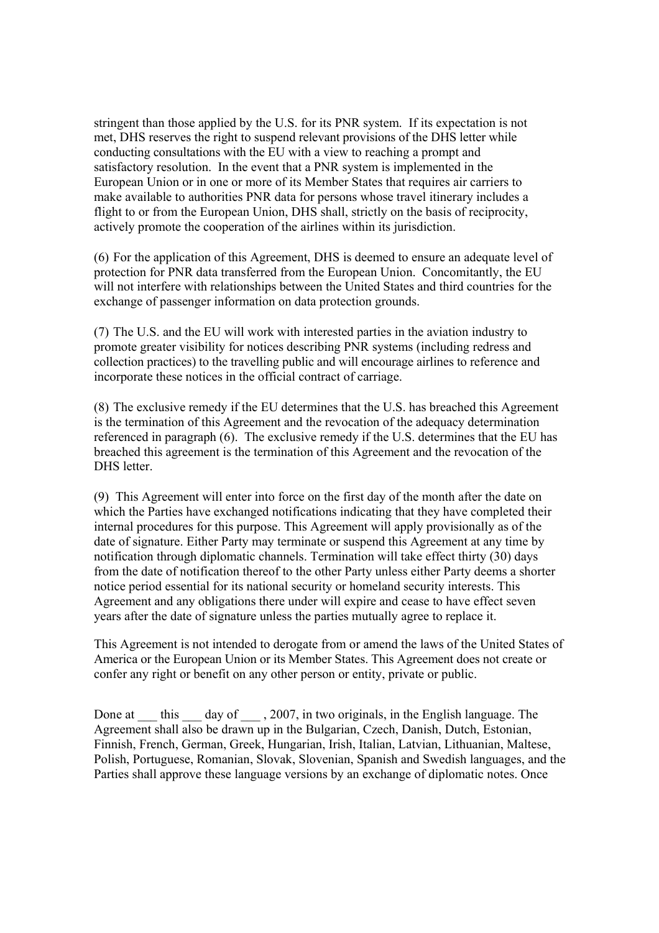stringent than those applied by the U.S. for its PNR system. If its expectation is not met, DHS reserves the right to suspend relevant provisions of the DHS letter while conducting consultations with the EU with a view to reaching a prompt and satisfactory resolution. In the event that a PNR system is implemented in the European Union or in one or more of its Member States that requires air carriers to make available to authorities PNR data for persons whose travel itinerary includes a flight to or from the European Union, DHS shall, strictly on the basis of reciprocity, actively promote the cooperation of the airlines within its jurisdiction.

(6) For the application of this Agreement, DHS is deemed to ensure an adequate level of protection for PNR data transferred from the European Union. Concomitantly, the EU will not interfere with relationships between the United States and third countries for the exchange of passenger information on data protection grounds.

(7) The U.S. and the EU will work with interested parties in the aviation industry to promote greater visibility for notices describing PNR systems (including redress and collection practices) to the travelling public and will encourage airlines to reference and incorporate these notices in the official contract of carriage.

(8) The exclusive remedy if the EU determines that the U.S. has breached this Agreement is the termination of this Agreement and the revocation of the adequacy determination referenced in paragraph (6). The exclusive remedy if the U.S. determines that the EU has breached this agreement is the termination of this Agreement and the revocation of the DHS letter.

(9) This Agreement will enter into force on the first day of the month after the date on which the Parties have exchanged notifications indicating that they have completed their internal procedures for this purpose. This Agreement will apply provisionally as of the date of signature. Either Party may terminate or suspend this Agreement at any time by notification through diplomatic channels. Termination will take effect thirty (30) days from the date of notification thereof to the other Party unless either Party deems a shorter notice period essential for its national security or homeland security interests. This Agreement and any obligations there under will expire and cease to have effect seven years after the date of signature unless the parties mutually agree to replace it.

This Agreement is not intended to derogate from or amend the laws of the United States of America or the European Union or its Member States. This Agreement does not create or confer any right or benefit on any other person or entity, private or public.

Done at \_\_\_ this \_\_\_ day of \_\_\_ , 2007, in two originals, in the English language. The Agreement shall also be drawn up in the Bulgarian, Czech, Danish, Dutch, Estonian, Finnish, French, German, Greek, Hungarian, Irish, Italian, Latvian, Lithuanian, Maltese, Polish, Portuguese, Romanian, Slovak, Slovenian, Spanish and Swedish languages, and the Parties shall approve these language versions by an exchange of diplomatic notes. Once